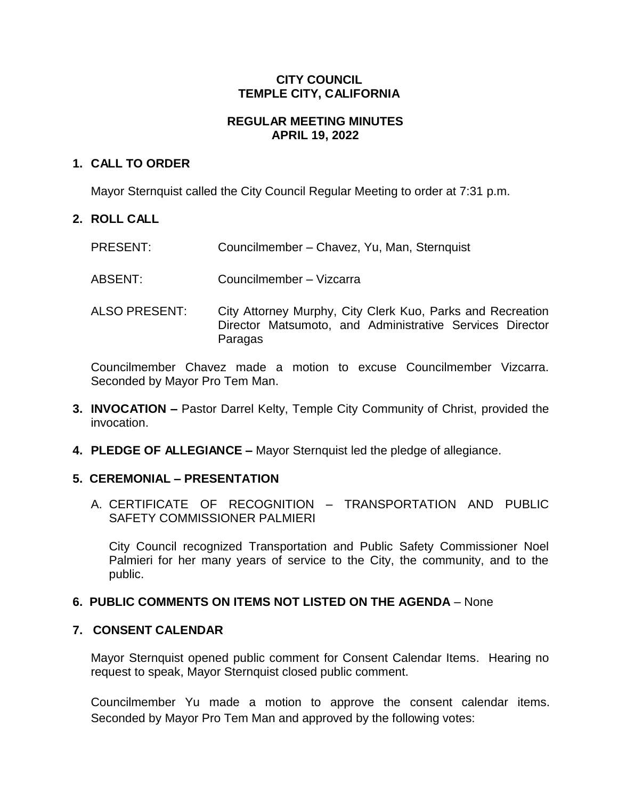# **CITY COUNCIL TEMPLE CITY, CALIFORNIA**

# **REGULAR MEETING MINUTES APRIL 19, 2022**

# **1. CALL TO ORDER**

Mayor Sternquist called the City Council Regular Meeting to order at 7:31 p.m.

# **2. ROLL CALL**

| <b>PRESENT:</b> | Councilmember - Chavez, Yu, Man, Sternquist |
|-----------------|---------------------------------------------|
|-----------------|---------------------------------------------|

ABSENT: Councilmember – Vizcarra

ALSO PRESENT: City Attorney Murphy, City Clerk Kuo, Parks and Recreation Director Matsumoto, and Administrative Services Director Paragas

Councilmember Chavez made a motion to excuse Councilmember Vizcarra. Seconded by Mayor Pro Tem Man.

- **3. INVOCATION –** Pastor Darrel Kelty, Temple City Community of Christ, provided the invocation.
- **4. PLEDGE OF ALLEGIANCE –** Mayor Sternquist led the pledge of allegiance.

### **5. CEREMONIAL – PRESENTATION**

A. CERTIFICATE OF RECOGNITION – TRANSPORTATION AND PUBLIC SAFETY COMMISSIONER PALMIERI

City Council recognized Transportation and Public Safety Commissioner Noel Palmieri for her many years of service to the City, the community, and to the public.

### **6. PUBLIC COMMENTS ON ITEMS NOT LISTED ON THE AGENDA** – None

### **7. CONSENT CALENDAR**

Mayor Sternquist opened public comment for Consent Calendar Items. Hearing no request to speak, Mayor Sternquist closed public comment.

Councilmember Yu made a motion to approve the consent calendar items. Seconded by Mayor Pro Tem Man and approved by the following votes: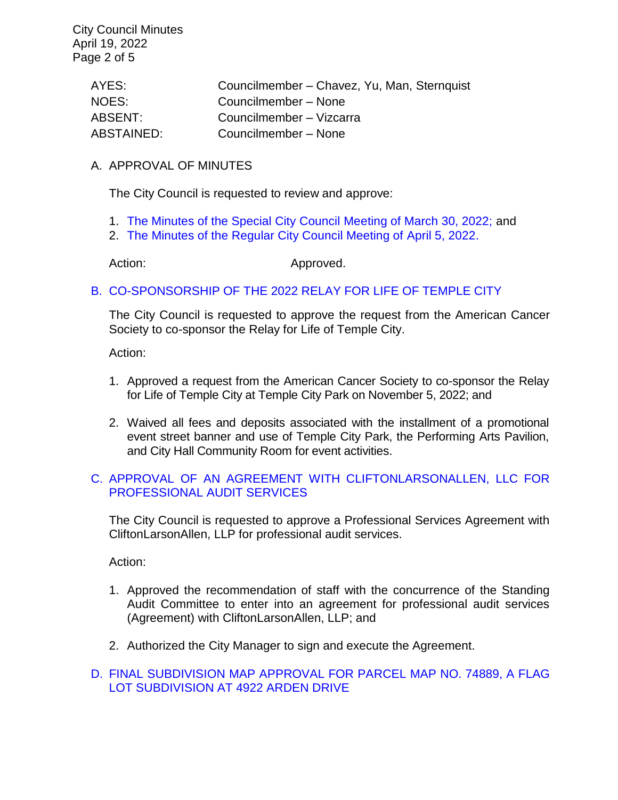City Council Minutes April 19, 2022 Page 2 of 5

| AYES:      | Councilmember - Chavez, Yu, Man, Sternquist |
|------------|---------------------------------------------|
| NOES:      | Councilmember - None                        |
| ABSENT:    | Councilmember - Vizcarra                    |
| ABSTAINED: | Councilmember - None                        |

#### A. APPROVAL OF MINUTES

The City Council is requested to review and approve:

- 1. [The Minutes of the Special City Council](https://www.ci.temple-city.ca.us/DocumentCenter/View/17707/7A-1_CCM---2022-03-30-Sheriffs-Monthly) Meeting of March 30, 2022; and
- 2. [The Minutes of the Regular City Council Meeting of April 5, 2022.](https://www.ci.temple-city.ca.us/DocumentCenter/View/17708/7A-2_CCM---2022-04-05)

Action: Approved.

### B. [CO-SPONSORSHIP OF THE 2022 RELAY FOR LIFE OF TEMPLE CITY](https://www.ci.temple-city.ca.us/DocumentCenter/View/17709/7B_Relay-for-Life-Request-Staff-Report_v1-w-attachment)

The City Council is requested to approve the request from the American Cancer Society to co-sponsor the Relay for Life of Temple City.

Action:

- 1. Approved a request from the American Cancer Society to co-sponsor the Relay for Life of Temple City at Temple City Park on November 5, 2022; and
- 2. Waived all fees and deposits associated with the installment of a promotional event street banner and use of Temple City Park, the Performing Arts Pavilion, and City Hall Community Room for event activities.

### C. [APPROVAL OF AN AGREEMENT WITH CLIFTONLARSONALLEN, LLC FOR](https://www.ci.temple-city.ca.us/DocumentCenter/View/17716/7C_Agreement-for-Audit-Services_Staff-Report-pk-comments-SP-Edits_V2-w-Attachment-B)  [PROFESSIONAL AUDIT SERVICES](https://www.ci.temple-city.ca.us/DocumentCenter/View/17716/7C_Agreement-for-Audit-Services_Staff-Report-pk-comments-SP-Edits_V2-w-Attachment-B)

The City Council is requested to approve a Professional Services Agreement with CliftonLarsonAllen, LLP for professional audit services.

Action:

- 1. Approved the recommendation of staff with the concurrence of the Standing Audit Committee to enter into an agreement for professional audit services (Agreement) with CliftonLarsonAllen, LLP; and
- 2. Authorized the City Manager to sign and execute the Agreement.

#### D. [FINAL SUBDIVISION MAP APPROVAL FOR PARCEL MAP NO. 74889, A FLAG](https://www.ci.temple-city.ca.us/DocumentCenter/View/17710/7D_Final-PM-74889-4922-Arden-Drive-_staff-report-sr-edits_pk)  [LOT SUBDIVISION AT 4922 ARDEN](https://www.ci.temple-city.ca.us/DocumentCenter/View/17710/7D_Final-PM-74889-4922-Arden-Drive-_staff-report-sr-edits_pk) DRIVE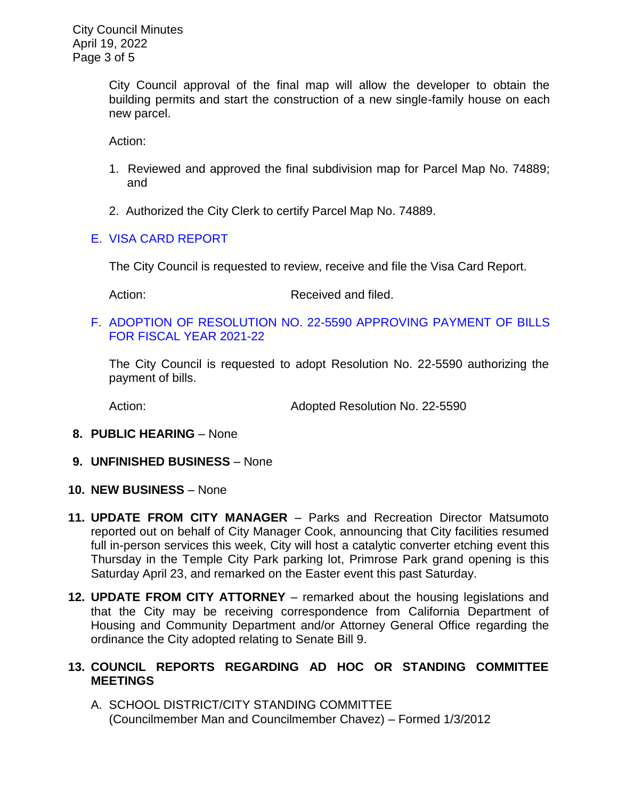City Council approval of the final map will allow the developer to obtain the building permits and start the construction of a new single-family house on each new parcel.

Action:

- 1. Reviewed and approved the final subdivision map for Parcel Map No. 74889; and
- 2. Authorized the City Clerk to certify Parcel Map No. 74889.

# E. [VISA CARD REPORT](https://www.ci.temple-city.ca.us/DocumentCenter/View/17711/7E_Visa-Card-Staff-Report)

The City Council is requested to review, receive and file the Visa Card Report.

Action: Received and filed.

F. [ADOPTION OF RESOLUTION NO. 22-5590](https://www.ci.temple-city.ca.us/DocumentCenter/View/17712/7F_Reso-No-22-5590-41922---Warrants--Demands-FY-2021-2022-w-attachment) APPROVING PAYMENT OF BILLS [FOR FISCAL YEAR 2021-22](https://www.ci.temple-city.ca.us/DocumentCenter/View/17712/7F_Reso-No-22-5590-41922---Warrants--Demands-FY-2021-2022-w-attachment)

The City Council is requested to adopt Resolution No. 22-5590 authorizing the payment of bills.

Action: Adopted Resolution No. 22-5590

- **8. PUBLIC HEARING** None
- **9. UNFINISHED BUSINESS** None
- **10. NEW BUSINESS**  None
- **11. UPDATE FROM CITY MANAGER** Parks and Recreation Director Matsumoto reported out on behalf of City Manager Cook, announcing that City facilities resumed full in-person services this week, City will host a catalytic converter etching event this Thursday in the Temple City Park parking lot, Primrose Park grand opening is this Saturday April 23, and remarked on the Easter event this past Saturday.
- **12. UPDATE FROM CITY ATTORNEY** remarked about the housing legislations and that the City may be receiving correspondence from California Department of Housing and Community Department and/or Attorney General Office regarding the ordinance the City adopted relating to Senate Bill 9.

# **13. COUNCIL REPORTS REGARDING AD HOC OR STANDING COMMITTEE MEETINGS**

A. SCHOOL DISTRICT/CITY STANDING COMMITTEE (Councilmember Man and Councilmember Chavez) – Formed 1/3/2012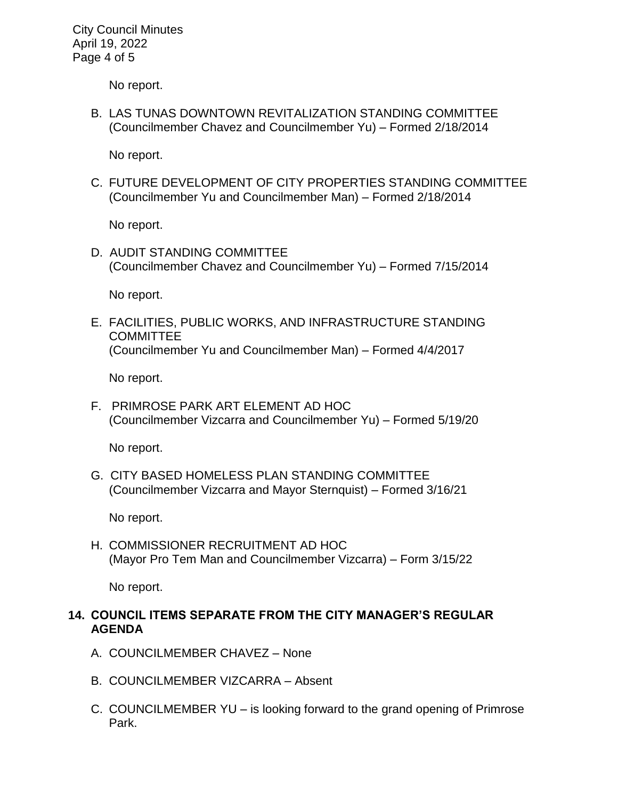City Council Minutes April 19, 2022 Page 4 of 5

No report.

B. LAS TUNAS DOWNTOWN REVITALIZATION STANDING COMMITTEE (Councilmember Chavez and Councilmember Yu) – Formed 2/18/2014

No report.

C. FUTURE DEVELOPMENT OF CITY PROPERTIES STANDING COMMITTEE (Councilmember Yu and Councilmember Man) – Formed 2/18/2014

No report.

D. AUDIT STANDING COMMITTEE (Councilmember Chavez and Councilmember Yu) – Formed 7/15/2014

No report.

E. FACILITIES, PUBLIC WORKS, AND INFRASTRUCTURE STANDING **COMMITTEE** (Councilmember Yu and Councilmember Man) – Formed 4/4/2017

No report.

F. PRIMROSE PARK ART ELEMENT AD HOC (Councilmember Vizcarra and Councilmember Yu) – Formed 5/19/20

No report.

G. CITY BASED HOMELESS PLAN STANDING COMMITTEE (Councilmember Vizcarra and Mayor Sternquist) – Formed 3/16/21

No report.

H. COMMISSIONER RECRUITMENT AD HOC (Mayor Pro Tem Man and Councilmember Vizcarra) – Form 3/15/22

No report.

### **14. COUNCIL ITEMS SEPARATE FROM THE CITY MANAGER'S REGULAR AGENDA**

- A. COUNCILMEMBER CHAVEZ None
- B. COUNCILMEMBER VIZCARRA Absent
- C. COUNCILMEMBER YU is looking forward to the grand opening of Primrose Park.